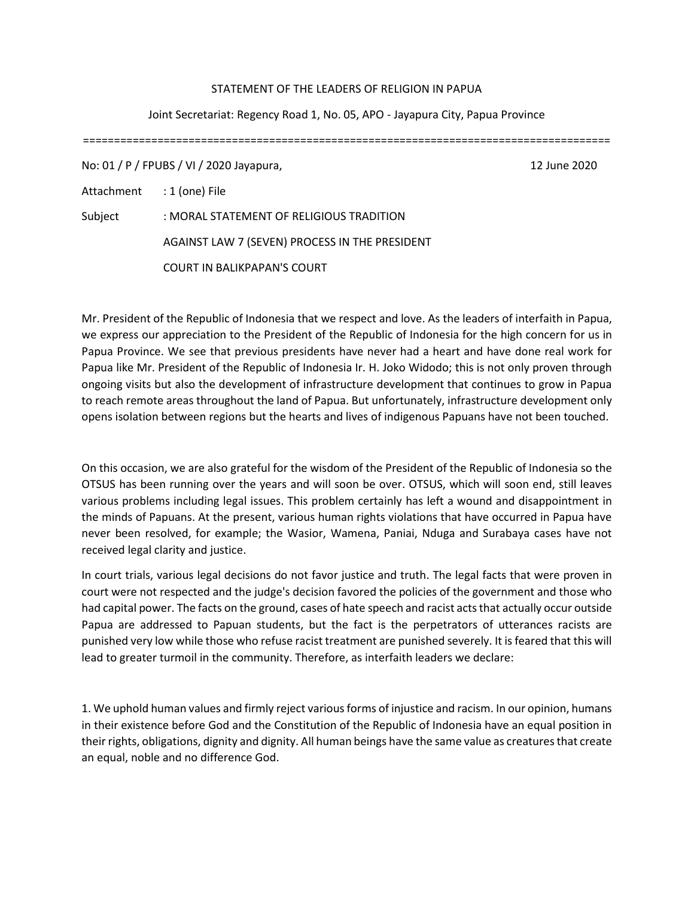## STATEMENT OF THE LEADERS OF RELIGION IN PAPUA

## Joint Secretariat: Regency Road 1, No. 05, APO - Jayapura City, Papua Province

=====================================================================================

No: 01 / P / FPUBS / VI / 2020 Jayapura, 12 June 2020

Attachment : 1 (one) File

Subject : MORAL STATEMENT OF RELIGIOUS TRADITION AGAINST LAW 7 (SEVEN) PROCESS IN THE PRESIDENT COURT IN BALIKPAPAN'S COURT

Mr. President of the Republic of Indonesia that we respect and love. As the leaders of interfaith in Papua, we express our appreciation to the President of the Republic of Indonesia for the high concern for us in Papua Province. We see that previous presidents have never had a heart and have done real work for Papua like Mr. President of the Republic of Indonesia Ir. H. Joko Widodo; this is not only proven through ongoing visits but also the development of infrastructure development that continues to grow in Papua to reach remote areas throughout the land of Papua. But unfortunately, infrastructure development only opens isolation between regions but the hearts and lives of indigenous Papuans have not been touched.

On this occasion, we are also grateful for the wisdom of the President of the Republic of Indonesia so the OTSUS has been running over the years and will soon be over. OTSUS, which will soon end, still leaves various problems including legal issues. This problem certainly has left a wound and disappointment in the minds of Papuans. At the present, various human rights violations that have occurred in Papua have never been resolved, for example; the Wasior, Wamena, Paniai, Nduga and Surabaya cases have not received legal clarity and justice.

In court trials, various legal decisions do not favor justice and truth. The legal facts that were proven in court were not respected and the judge's decision favored the policies of the government and those who had capital power. The facts on the ground, cases of hate speech and racist acts that actually occur outside Papua are addressed to Papuan students, but the fact is the perpetrators of utterances racists are punished very low while those who refuse racist treatment are punished severely. It is feared that this will lead to greater turmoil in the community. Therefore, as interfaith leaders we declare:

1. We uphold human values and firmly reject various forms of injustice and racism. In our opinion, humans in their existence before God and the Constitution of the Republic of Indonesia have an equal position in their rights, obligations, dignity and dignity. All human beings have the same value as creatures that create an equal, noble and no difference God.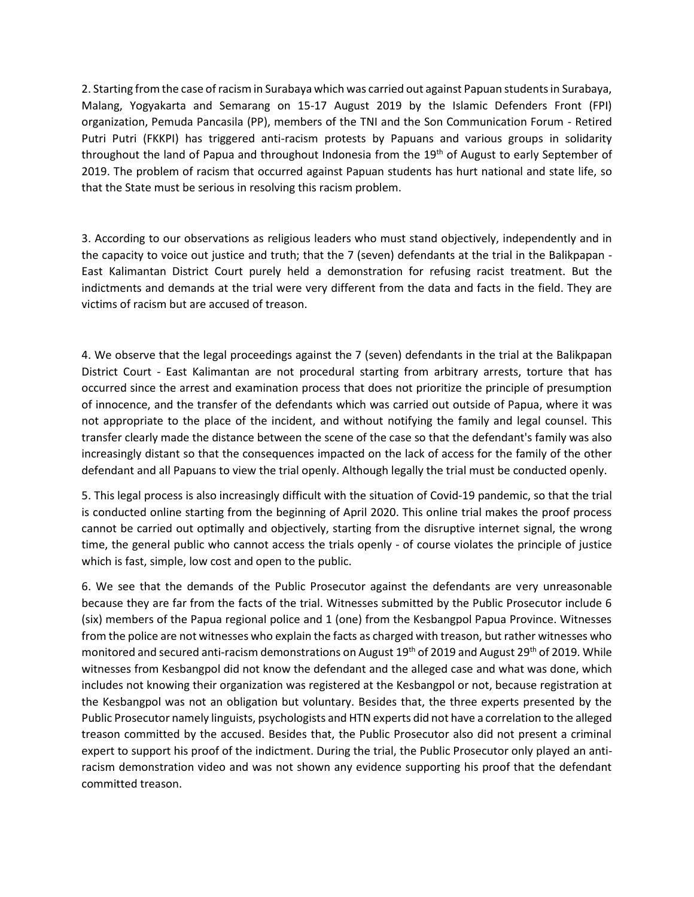2. Starting from the case of racism in Surabaya which was carried out against Papuan students in Surabaya, Malang, Yogyakarta and Semarang on 15-17 August 2019 by the Islamic Defenders Front (FPI) organization, Pemuda Pancasila (PP), members of the TNI and the Son Communication Forum - Retired Putri Putri (FKKPI) has triggered anti-racism protests by Papuans and various groups in solidarity throughout the land of Papua and throughout Indonesia from the 19<sup>th</sup> of August to early September of 2019. The problem of racism that occurred against Papuan students has hurt national and state life, so that the State must be serious in resolving this racism problem.

3. According to our observations as religious leaders who must stand objectively, independently and in the capacity to voice out justice and truth; that the 7 (seven) defendants at the trial in the Balikpapan - East Kalimantan District Court purely held a demonstration for refusing racist treatment. But the indictments and demands at the trial were very different from the data and facts in the field. They are victims of racism but are accused of treason.

4. We observe that the legal proceedings against the 7 (seven) defendants in the trial at the Balikpapan District Court - East Kalimantan are not procedural starting from arbitrary arrests, torture that has occurred since the arrest and examination process that does not prioritize the principle of presumption of innocence, and the transfer of the defendants which was carried out outside of Papua, where it was not appropriate to the place of the incident, and without notifying the family and legal counsel. This transfer clearly made the distance between the scene of the case so that the defendant's family was also increasingly distant so that the consequences impacted on the lack of access for the family of the other defendant and all Papuans to view the trial openly. Although legally the trial must be conducted openly.

5. This legal process is also increasingly difficult with the situation of Covid-19 pandemic, so that the trial is conducted online starting from the beginning of April 2020. This online trial makes the proof process cannot be carried out optimally and objectively, starting from the disruptive internet signal, the wrong time, the general public who cannot access the trials openly - of course violates the principle of justice which is fast, simple, low cost and open to the public.

6. We see that the demands of the Public Prosecutor against the defendants are very unreasonable because they are far from the facts of the trial. Witnesses submitted by the Public Prosecutor include 6 (six) members of the Papua regional police and 1 (one) from the Kesbangpol Papua Province. Witnesses from the police are not witnesses who explain the facts as charged with treason, but rather witnesses who monitored and secured anti-racism demonstrations on August 19<sup>th</sup> of 2019 and August 29<sup>th</sup> of 2019. While witnesses from Kesbangpol did not know the defendant and the alleged case and what was done, which includes not knowing their organization was registered at the Kesbangpol or not, because registration at the Kesbangpol was not an obligation but voluntary. Besides that, the three experts presented by the Public Prosecutor namely linguists, psychologists and HTN experts did not have a correlation to the alleged treason committed by the accused. Besides that, the Public Prosecutor also did not present a criminal expert to support his proof of the indictment. During the trial, the Public Prosecutor only played an antiracism demonstration video and was not shown any evidence supporting his proof that the defendant committed treason.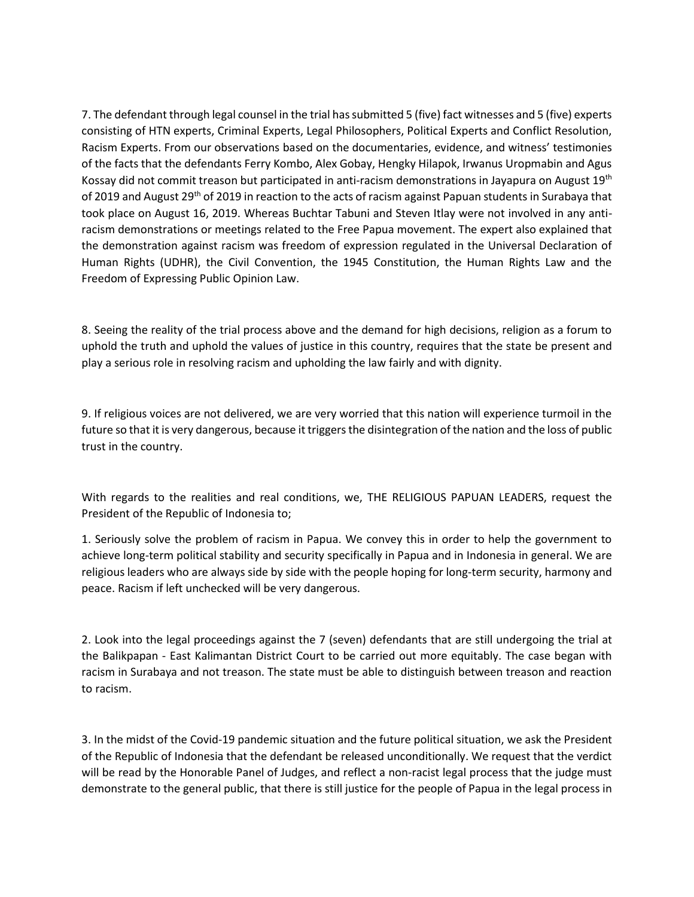7. The defendant through legal counsel in the trial has submitted 5 (five) fact witnesses and 5 (five) experts consisting of HTN experts, Criminal Experts, Legal Philosophers, Political Experts and Conflict Resolution, Racism Experts. From our observations based on the documentaries, evidence, and witness' testimonies of the facts that the defendants Ferry Kombo, Alex Gobay, Hengky Hilapok, Irwanus Uropmabin and Agus Kossay did not commit treason but participated in anti-racism demonstrations in Jayapura on August 19th of 2019 and August 29<sup>th</sup> of 2019 in reaction to the acts of racism against Papuan students in Surabaya that took place on August 16, 2019. Whereas Buchtar Tabuni and Steven Itlay were not involved in any antiracism demonstrations or meetings related to the Free Papua movement. The expert also explained that the demonstration against racism was freedom of expression regulated in the Universal Declaration of Human Rights (UDHR), the Civil Convention, the 1945 Constitution, the Human Rights Law and the Freedom of Expressing Public Opinion Law.

8. Seeing the reality of the trial process above and the demand for high decisions, religion as a forum to uphold the truth and uphold the values of justice in this country, requires that the state be present and play a serious role in resolving racism and upholding the law fairly and with dignity.

9. If religious voices are not delivered, we are very worried that this nation will experience turmoil in the future so that it is very dangerous, because it triggers the disintegration of the nation and the loss of public trust in the country.

With regards to the realities and real conditions, we, THE RELIGIOUS PAPUAN LEADERS, request the President of the Republic of Indonesia to;

1. Seriously solve the problem of racism in Papua. We convey this in order to help the government to achieve long-term political stability and security specifically in Papua and in Indonesia in general. We are religious leaders who are always side by side with the people hoping for long-term security, harmony and peace. Racism if left unchecked will be very dangerous.

2. Look into the legal proceedings against the 7 (seven) defendants that are still undergoing the trial at the Balikpapan - East Kalimantan District Court to be carried out more equitably. The case began with racism in Surabaya and not treason. The state must be able to distinguish between treason and reaction to racism.

3. In the midst of the Covid-19 pandemic situation and the future political situation, we ask the President of the Republic of Indonesia that the defendant be released unconditionally. We request that the verdict will be read by the Honorable Panel of Judges, and reflect a non-racist legal process that the judge must demonstrate to the general public, that there is still justice for the people of Papua in the legal process in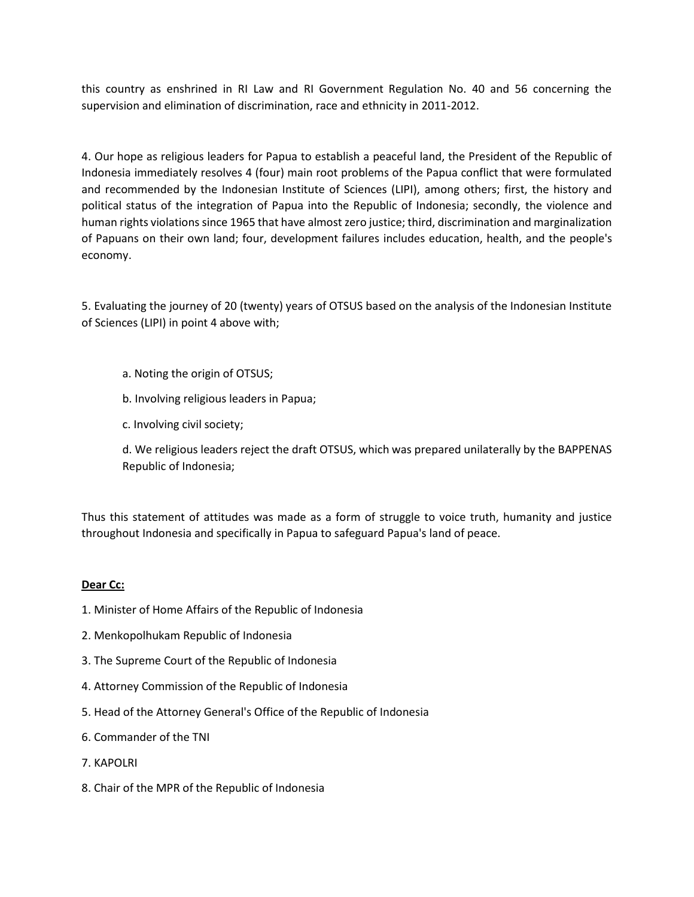this country as enshrined in RI Law and RI Government Regulation No. 40 and 56 concerning the supervision and elimination of discrimination, race and ethnicity in 2011-2012.

4. Our hope as religious leaders for Papua to establish a peaceful land, the President of the Republic of Indonesia immediately resolves 4 (four) main root problems of the Papua conflict that were formulated and recommended by the Indonesian Institute of Sciences (LIPI), among others; first, the history and political status of the integration of Papua into the Republic of Indonesia; secondly, the violence and human rights violations since 1965 that have almost zero justice; third, discrimination and marginalization of Papuans on their own land; four, development failures includes education, health, and the people's economy.

5. Evaluating the journey of 20 (twenty) years of OTSUS based on the analysis of the Indonesian Institute of Sciences (LIPI) in point 4 above with;

- a. Noting the origin of OTSUS;
- b. Involving religious leaders in Papua;
- c. Involving civil society;

d. We religious leaders reject the draft OTSUS, which was prepared unilaterally by the BAPPENAS Republic of Indonesia;

Thus this statement of attitudes was made as a form of struggle to voice truth, humanity and justice throughout Indonesia and specifically in Papua to safeguard Papua's land of peace.

## **Dear Cc:**

- 1. Minister of Home Affairs of the Republic of Indonesia
- 2. Menkopolhukam Republic of Indonesia
- 3. The Supreme Court of the Republic of Indonesia
- 4. Attorney Commission of the Republic of Indonesia
- 5. Head of the Attorney General's Office of the Republic of Indonesia
- 6. Commander of the TNI
- 7. KAPOLRI
- 8. Chair of the MPR of the Republic of Indonesia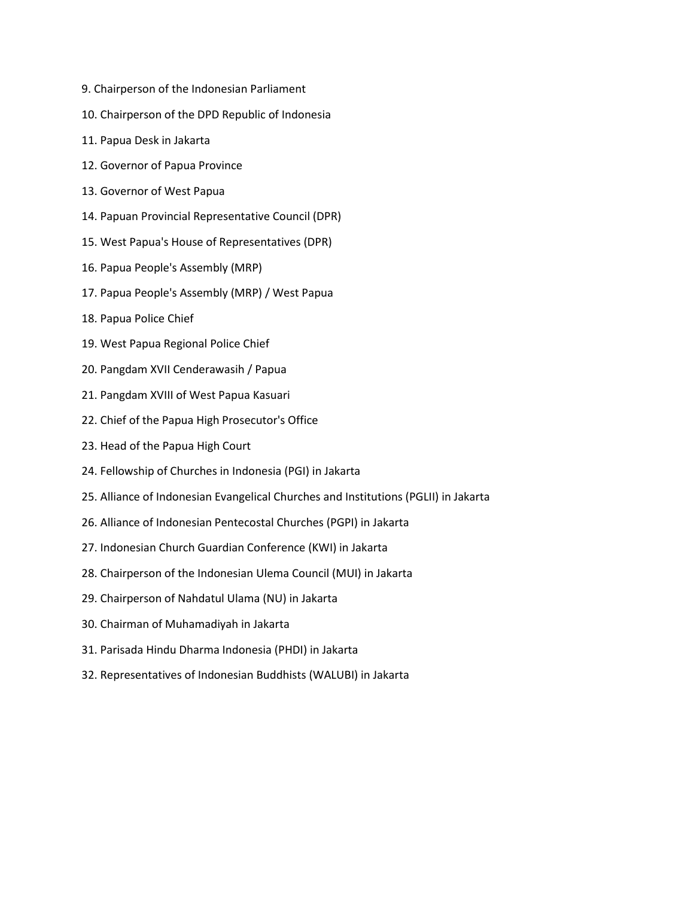- 9. Chairperson of the Indonesian Parliament
- 10. Chairperson of the DPD Republic of Indonesia
- 11. Papua Desk in Jakarta
- 12. Governor of Papua Province
- 13. Governor of West Papua
- 14. Papuan Provincial Representative Council (DPR)
- 15. West Papua's House of Representatives (DPR)
- 16. Papua People's Assembly (MRP)
- 17. Papua People's Assembly (MRP) / West Papua
- 18. Papua Police Chief
- 19. West Papua Regional Police Chief
- 20. Pangdam XVII Cenderawasih / Papua
- 21. Pangdam XVIII of West Papua Kasuari
- 22. Chief of the Papua High Prosecutor's Office
- 23. Head of the Papua High Court
- 24. Fellowship of Churches in Indonesia (PGI) in Jakarta
- 25. Alliance of Indonesian Evangelical Churches and Institutions (PGLII) in Jakarta
- 26. Alliance of Indonesian Pentecostal Churches (PGPI) in Jakarta
- 27. Indonesian Church Guardian Conference (KWI) in Jakarta
- 28. Chairperson of the Indonesian Ulema Council (MUI) in Jakarta
- 29. Chairperson of Nahdatul Ulama (NU) in Jakarta
- 30. Chairman of Muhamadiyah in Jakarta
- 31. Parisada Hindu Dharma Indonesia (PHDI) in Jakarta
- 32. Representatives of Indonesian Buddhists (WALUBI) in Jakarta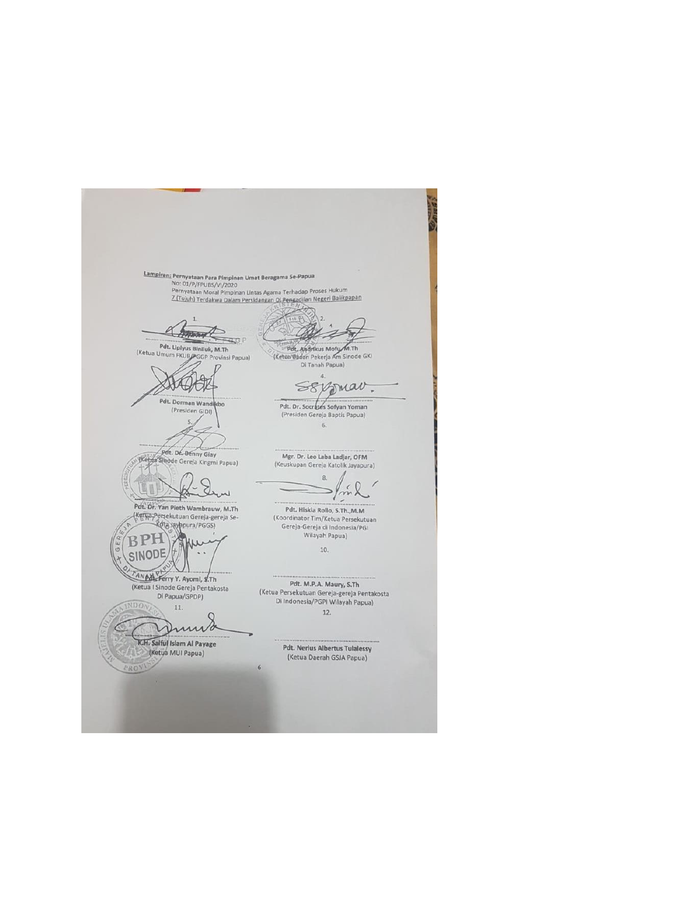**SEP Lampiran: Pernyataan Para Pimpinan Umat Beragama Se-Papua**<br>No: 01/P/FPUBS/VI/2020<br>Pernyataan Moral Pimpinan Lintas Agama Terhadap Proses Hukum<br>Z. (Tujuh) Terdakwa Dalam Persidangan Di Pengadilan Negeri Balikpapan mand 26 Pdt. Liplyus Biniluk, M.Th<br>(Ketua Umum FKUB/PGGP Provinsi Papua) Pdt, Andrikus Mofy M.Th<br>(Ketaa Badan Pekerja Am Sinode GKI)<br>Di Tanah Papua)  $\mathbf{A}$  $\overline{a}$ HAHA SEXJUar. Pdt. Dorman Wan Pdt. Dr. Socrates Sofyan Yoman (Presiden GIDI) (Presiden Gereja Baptis Papua)  $6,$ Pdt. Dr. Benny Glay Mgr. Dr. Leo Laba Ladjar, OFM Thetua Sinode Gereja Kingmi Papua) (Keuskupan Gereja Katolik Jayapura)  $\mathbf{g}$ Sen m Pdt. Dr. Yan Pieth Wambrauw, M.Th Pdt. Hiskia Rollo, S.Th.,M.M<br>(Koordinator Tim/Ketua Persekutuan (Kerya Persekutuan Gereja-gereja Se-Rota vay ppura/PGGS) Gereja-Gereja di Indonesia/PGI **BPH** Fahre Wilayah Papua)  $10.$ **SINODE**  $\ddot{\phantom{a}}$ ANALL Ferry Y. Ayomi, S.Th Pdt. M.P.A. Maury, S.Th (Ketua I Sinode Gereja Pentakosta<br>Di Papua/GPDP) (Ketua Persekutuan Gereja-gereja Pentakosta<br>Di Indonesia/PGPI Wilayah Papua) **IDON** 11. 12.  $\mathcal{C}$ Ч *<u>AMM</u>* K.H. Saiful Islam Al Payage **Pdt. Nerius Albertus Tulalessy** (Ketua MUI Papua) (Ketua Daerah GSJA Papua)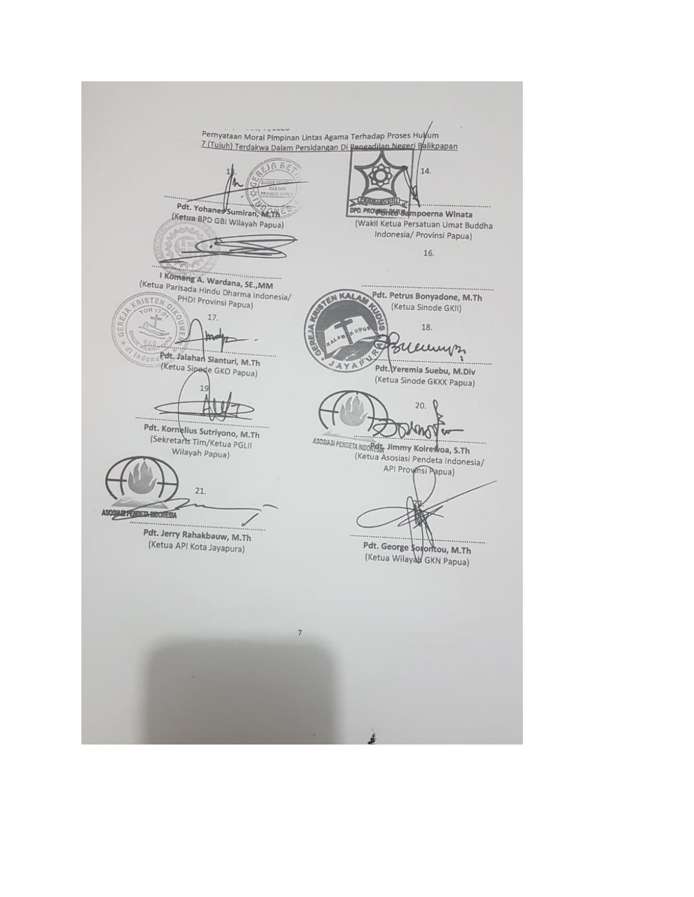$12.44444$ Pernyataan Moral Pimpinan Lintas Agama Terhadap Proses Hulyum 7 (Tujuh) Terdakwa Dalam Persidangan Di Pengadilan Negeri Balikpapan 14. **PARTIES** Pdt. Yohanes Sumiran, M.Th DPD. PROVISING Sampoerna Winata (Ketua BPD GBI Wilayah Papua) (Wakil Ketua Persatuan Umat Buddha Indonesia/ Provinsi Papua) 16. I Komang A. Wardana, SE., MM (Ketua Parisada Hindu Dharma Indonesia/ EN KAL Pdt. Petrus Bonyadone, M.Th PHDI Provinsi Papua) RISTEN (Ketua Sinode GKII) **OHT** 17. 18. In  $152.$ Wernigh Pdt. Jalahan Sianturi, M.Th (Ketua Sipede GKO Papua) VAYAP Pdt. Yeremia Suebu, M.Div (Ketua Sinode GKKK Papua)  $20.$ Pdt. Kornelius Sutriyono, M.Th m (Sekretaris Tim/Ketua PGLII ASOSIASI PENDETA INDORECT, Jimmy Koirewoa, S.Th Wilayah Papua) (Ketua Asosiasi Pendeta Indonesia/ API Proyinsi Papua)  $21.$ ASOSIARI PERDEJA HIDORESIA Pdt. Jerry Rahakbauw, M.Th (Ketua API Kota Jayapura) Pdt. George souontou, M.Th (Ketua Wilayah GKN Papua)  $\overline{\tau}$